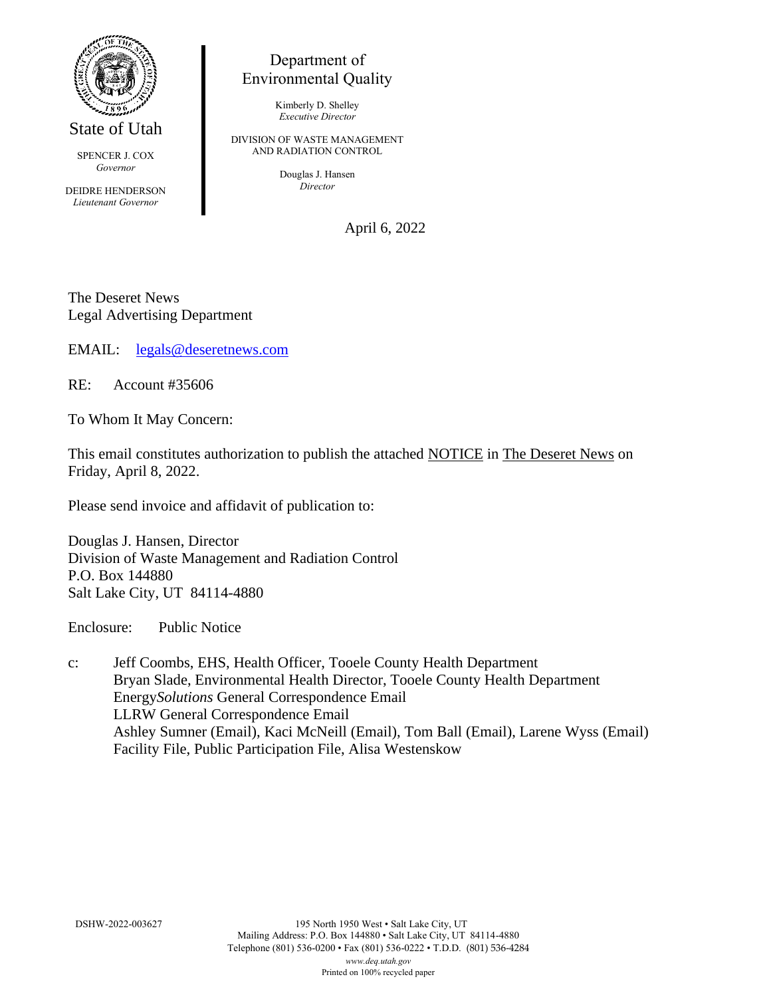

State of Utah

SPENCER J. COX *Governor*

DEIDRE HENDERSON *Lieutenant Governor*

## Department of Environmental Quality

Kimberly D. Shelley *Executive Director*

DIVISION OF WASTE MANAGEMENT AND RADIATION CONTROL

> Douglas J. Hansen *Director*

> > April 6, 2022

The Deseret News Legal Advertising Department

EMAIL: [legals@deseretnews.com](mailto:legals@deseretnews.com)

RE: Account #35606

To Whom It May Concern:

This email constitutes authorization to publish the attached NOTICE in The Deseret News on Friday, April 8, 2022.

Please send invoice and affidavit of publication to:

Douglas J. Hansen, Director Division of Waste Management and Radiation Control P.O. Box 144880 Salt Lake City, UT 84114-4880

Enclosure: Public Notice

c: Jeff Coombs, EHS, Health Officer, Tooele County Health Department Bryan Slade, Environmental Health Director, Tooele County Health Department Energy*Solutions* General Correspondence Email LLRW General Correspondence Email Ashley Sumner (Email), Kaci McNeill (Email), Tom Ball (Email), Larene Wyss (Email) Facility File, Public Participation File, Alisa Westenskow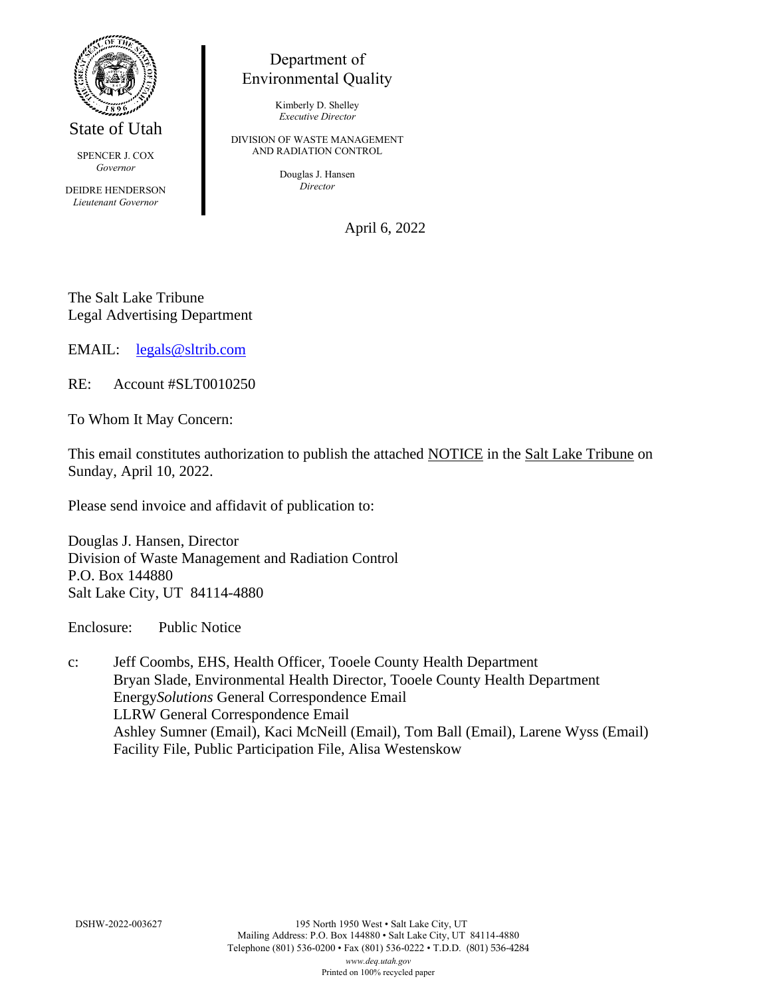

State of Utah

SPENCER J. COX *Governor*

DEIDRE HENDERSON *Lieutenant Governor*

## Department of Environmental Quality

Kimberly D. Shelley *Executive Director*

DIVISION OF WASTE MANAGEMENT AND RADIATION CONTROL

> Douglas J. Hansen *Director*

> > April 6, 2022

The Salt Lake Tribune Legal Advertising Department

EMAIL: [legals@sltrib.com](mailto:legals@sltrib.com)

RE: Account #SLT0010250

To Whom It May Concern:

This email constitutes authorization to publish the attached NOTICE in the Salt Lake Tribune on Sunday, April 10, 2022.

Please send invoice and affidavit of publication to:

Douglas J. Hansen, Director Division of Waste Management and Radiation Control P.O. Box 144880 Salt Lake City, UT 84114-4880

Enclosure: Public Notice

c: Jeff Coombs, EHS, Health Officer, Tooele County Health Department Bryan Slade, Environmental Health Director, Tooele County Health Department Energy*Solutions* General Correspondence Email LLRW General Correspondence Email Ashley Sumner (Email), Kaci McNeill (Email), Tom Ball (Email), Larene Wyss (Email) Facility File, Public Participation File, Alisa Westenskow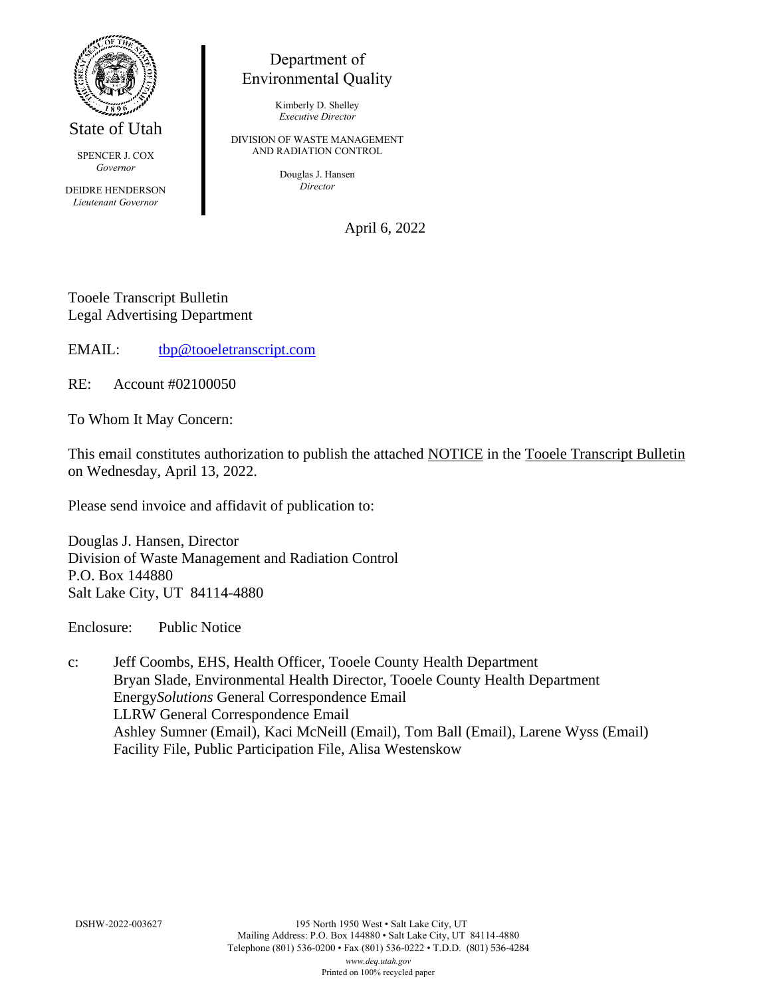

State of Utah

SPENCER J. COX *Governor*

DEIDRE HENDERSON *Lieutenant Governor*

## Department of Environmental Quality

Kimberly D. Shelley *Executive Director*

DIVISION OF WASTE MANAGEMENT AND RADIATION CONTROL

> Douglas J. Hansen *Director*

> > April 6, 2022

Tooele Transcript Bulletin Legal Advertising Department

EMAIL: [tbp@tooeletranscript.com](mailto:tbp@tooeletranscript.com)

RE: Account #02100050

To Whom It May Concern:

This email constitutes authorization to publish the attached NOTICE in the Tooele Transcript Bulletin on Wednesday, April 13, 2022.

Please send invoice and affidavit of publication to:

Douglas J. Hansen, Director Division of Waste Management and Radiation Control P.O. Box 144880 Salt Lake City, UT 84114-4880

Enclosure: Public Notice

c: Jeff Coombs, EHS, Health Officer, Tooele County Health Department Bryan Slade, Environmental Health Director, Tooele County Health Department Energy*Solutions* General Correspondence Email LLRW General Correspondence Email Ashley Sumner (Email), Kaci McNeill (Email), Tom Ball (Email), Larene Wyss (Email) Facility File, Public Participation File, Alisa Westenskow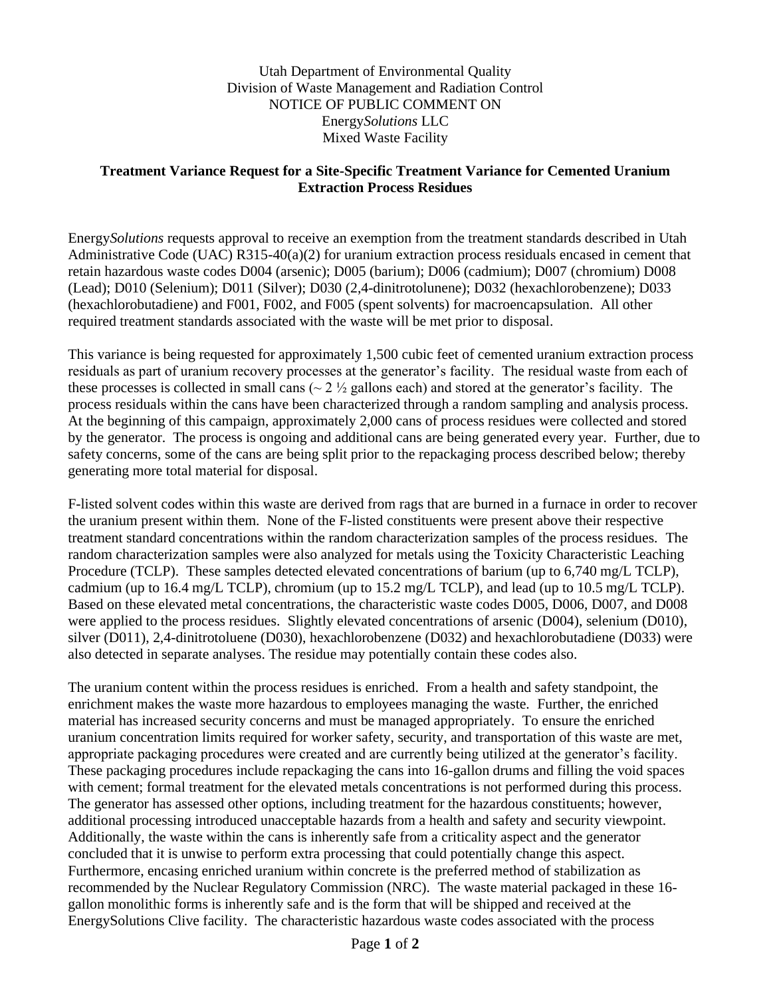Utah Department of Environmental Quality Division of Waste Management and Radiation Control NOTICE OF PUBLIC COMMENT ON Energy*Solutions* LLC Mixed Waste Facility

## **Treatment Variance Request for a Site-Specific Treatment Variance for Cemented Uranium Extraction Process Residues**

Energy*Solutions* requests approval to receive an exemption from the treatment standards described in Utah Administrative Code (UAC) R315-40(a)(2) for uranium extraction process residuals encased in cement that retain hazardous waste codes D004 (arsenic); D005 (barium); D006 (cadmium); D007 (chromium) D008 (Lead); D010 (Selenium); D011 (Silver); D030 (2,4-dinitrotolunene); D032 (hexachlorobenzene); D033 (hexachlorobutadiene) and F001, F002, and F005 (spent solvents) for macroencapsulation. All other required treatment standards associated with the waste will be met prior to disposal.

This variance is being requested for approximately 1,500 cubic feet of cemented uranium extraction process residuals as part of uranium recovery processes at the generator's facility. The residual waste from each of these processes is collected in small cans ( $\sim$  2  $\frac{1}{2}$  gallons each) and stored at the generator's facility. The process residuals within the cans have been characterized through a random sampling and analysis process. At the beginning of this campaign, approximately 2,000 cans of process residues were collected and stored by the generator. The process is ongoing and additional cans are being generated every year. Further, due to safety concerns, some of the cans are being split prior to the repackaging process described below; thereby generating more total material for disposal.

F-listed solvent codes within this waste are derived from rags that are burned in a furnace in order to recover the uranium present within them. None of the F-listed constituents were present above their respective treatment standard concentrations within the random characterization samples of the process residues. The random characterization samples were also analyzed for metals using the Toxicity Characteristic Leaching Procedure (TCLP). These samples detected elevated concentrations of barium (up to 6,740 mg/L TCLP), cadmium (up to 16.4 mg/L TCLP), chromium (up to 15.2 mg/L TCLP), and lead (up to 10.5 mg/L TCLP). Based on these elevated metal concentrations, the characteristic waste codes D005, D006, D007, and D008 were applied to the process residues. Slightly elevated concentrations of arsenic (D004), selenium (D010), silver (D011), 2,4-dinitrotoluene (D030), hexachlorobenzene (D032) and hexachlorobutadiene (D033) were also detected in separate analyses. The residue may potentially contain these codes also.

The uranium content within the process residues is enriched. From a health and safety standpoint, the enrichment makes the waste more hazardous to employees managing the waste. Further, the enriched material has increased security concerns and must be managed appropriately. To ensure the enriched uranium concentration limits required for worker safety, security, and transportation of this waste are met, appropriate packaging procedures were created and are currently being utilized at the generator's facility. These packaging procedures include repackaging the cans into 16-gallon drums and filling the void spaces with cement; formal treatment for the elevated metals concentrations is not performed during this process. The generator has assessed other options, including treatment for the hazardous constituents; however, additional processing introduced unacceptable hazards from a health and safety and security viewpoint. Additionally, the waste within the cans is inherently safe from a criticality aspect and the generator concluded that it is unwise to perform extra processing that could potentially change this aspect. Furthermore, encasing enriched uranium within concrete is the preferred method of stabilization as recommended by the Nuclear Regulatory Commission (NRC). The waste material packaged in these 16 gallon monolithic forms is inherently safe and is the form that will be shipped and received at the EnergySolutions Clive facility. The characteristic hazardous waste codes associated with the process